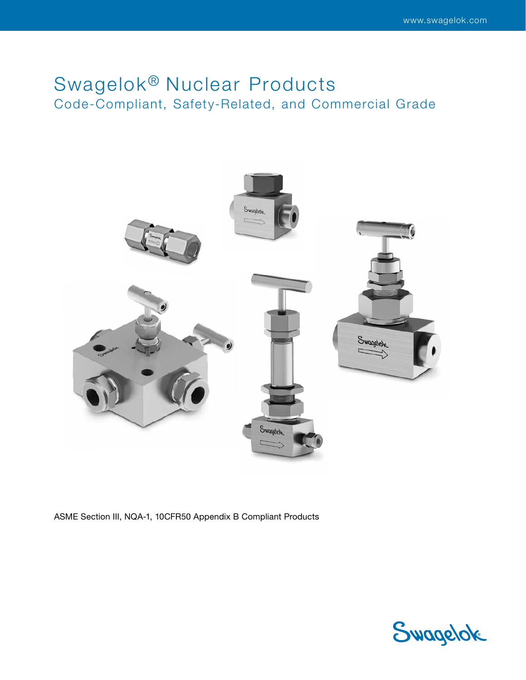# Swagelok<sup>®</sup> Nuclear Products Code-Compliant, Safety-Related, and Commercial Grade



ASME Section III, NQA-1, 10CFR50 Appendix B Compliant Products

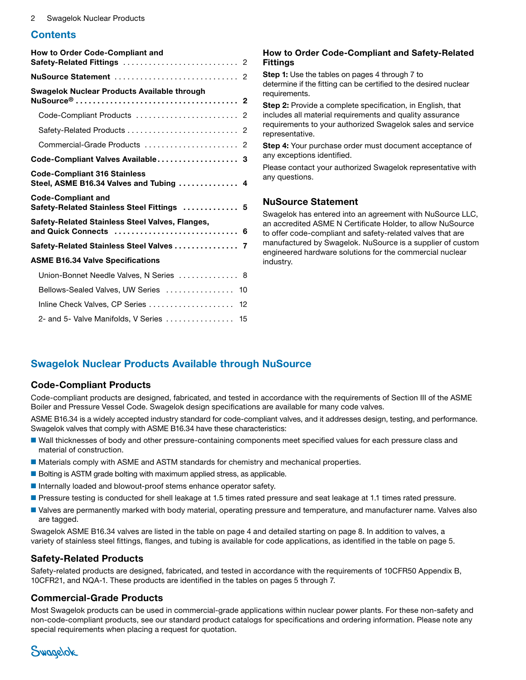### **Contents**

| How to Order Code-Compliant and                                                |
|--------------------------------------------------------------------------------|
|                                                                                |
| Swagelok Nuclear Products Available through                                    |
| Code-Compliant Products  2                                                     |
| Safety-Related Products  2                                                     |
| Commercial-Grade Products  2                                                   |
| Code-Compliant Valves Available 3                                              |
| <b>Code-Compliant 316 Stainless</b><br>Steel, ASME B16.34 Valves and Tubing  4 |
| <b>Code-Compliant and</b><br>Safety-Related Stainless Steel Fittings  5        |
| Safety-Related Stainless Steel Valves, Flanges,                                |
| Safety-Related Stainless Steel Valves  7                                       |
| <b>ASME B16.34 Valve Specifications</b>                                        |
| Union-Bonnet Needle Valves, N Series  8                                        |
| Bellows-Sealed Valves, UW Series<br>10                                         |
| Inline Check Valves, CP Series<br>12                                           |
| 2- and 5- Valve Manifolds, V Series  15                                        |

#### <span id="page-1-0"></span>How to Order Code-Compliant and Safety-Related Fittings

Step 1: Use the tables on pages [4](#page-3-1) through [7](#page-6-1) to determine if the fitting can be certified to the desired nuclear requirements.

Step 2: Provide a complete specification, in English, that includes all material requirements and quality assurance requirements to your authorized Swagelok sales and service representative.

Step 4: Your purchase order must document acceptance of any exceptions identified.

Please contact your authorized Swagelok representative with any questions.

#### <span id="page-1-1"></span>NuSource Statement

Swagelok has entered into an agreement with NuSource LLC, an accredited ASME N Certificate Holder, to allow NuSource to offer code-compliant and safety-related valves that are manufactured by Swagelok. NuSource is a supplier of custom engineered hardware solutions for the commercial nuclear industry.

# <span id="page-1-2"></span>Swagelok Nuclear Products Available through NuSource

#### <span id="page-1-3"></span>Code-Compliant Products

Code-compliant products are designed, fabricated, and tested in accordance with the requirements of Section III of the ASME Boiler and Pressure Vessel Code. Swagelok design specifications are available for many code valves.

ASME B16.34 is a widely accepted industry standard for code-compliant valves, and it addresses design, testing, and performance. Swagelok valves that comply with ASME B16.34 have these characteristics:

- Wall thicknesses of body and other pressure-containing components meet specified values for each pressure class and material of construction.
- Materials comply with ASME and ASTM standards for chemistry and mechanical properties.
- Bolting is ASTM grade bolting with maximum applied stress, as applicable.
- Internally loaded and blowout-proof stems enhance operator safety.
- Pressure testing is conducted for shell leakage at 1.5 times rated pressure and seat leakage at 1.1 times rated pressure.
- Valves are permanently marked with body material, operating pressure and temperature, and manufacturer name. Valves also are tagged.

Swagelok ASME B16.34 valves are listed in the table on page [4](#page-3-0) and detailed starting on page [8](#page-7-0). In addition to valves, a variety of stainless steel fittings, flanges, and tubing is available for code applications, as identified in the table on page [5](#page-4-0).

#### <span id="page-1-4"></span>Safety-Related Products

Safety-related products are designed, fabricated, and tested in accordance with the requirements of 10CFR50 Appendix B, 10CFR21, and NQA-1. These products are identified in the tables on pages [5](#page-4-1) through [7](#page-6-0).

#### <span id="page-1-5"></span>Commercial-Grade Products

Most Swagelok products can be used in commercial-grade applications within nuclear power plants. For these non-safety and non-code-compliant products, see our standard product catalogs for specifications and ordering information. Please note any special requirements when placing a request for quotation.

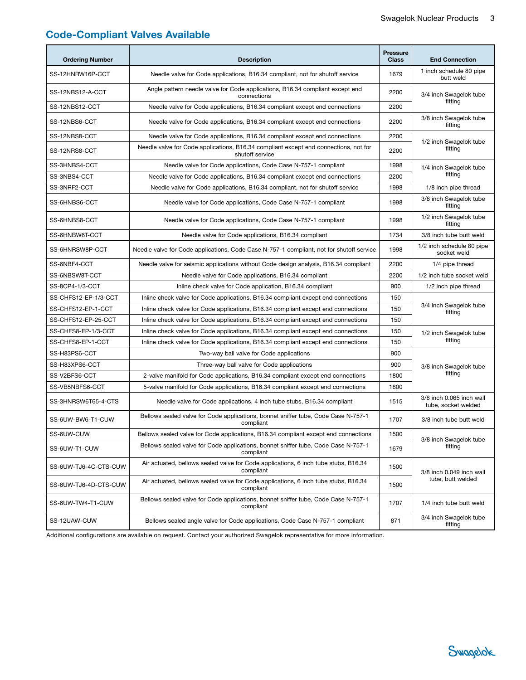# <span id="page-2-0"></span>Code-Compliant Valves Available

| <b>Ordering Number</b> | <b>Description</b>                                                                                      | <b>Pressure</b><br><b>Class</b> | <b>End Connection</b>                           |  |  |  |  |
|------------------------|---------------------------------------------------------------------------------------------------------|---------------------------------|-------------------------------------------------|--|--|--|--|
| SS-12HNRW16P-CCT       | Needle valve for Code applications, B16.34 compliant, not for shutoff service                           | 1679                            | 1 inch schedule 80 pipe<br>butt weld            |  |  |  |  |
| SS-12NBS12-A-CCT       | Angle pattern needle valve for Code applications, B16.34 compliant except end<br>connections            | 2200                            | 3/4 inch Swagelok tube<br>fitting               |  |  |  |  |
| SS-12NBS12-CCT         | Needle valve for Code applications, B16.34 compliant except end connections                             |                                 |                                                 |  |  |  |  |
| SS-12NBS6-CCT          | Needle valve for Code applications, B16.34 compliant except end connections                             | 2200                            | 3/8 inch Swagelok tube<br>fitting               |  |  |  |  |
| SS-12NBS8-CCT          | Needle valve for Code applications, B16.34 compliant except end connections                             | 2200                            | 1/2 inch Swagelok tube                          |  |  |  |  |
| SS-12NRS8-CCT          | Needle valve for Code applications, B16.34 compliant except end connections, not for<br>shutoff service | 2200                            | fitting                                         |  |  |  |  |
| SS-3HNBS4-CCT          | Needle valve for Code applications, Code Case N-757-1 compliant                                         | 1998                            | 1/4 inch Swagelok tube                          |  |  |  |  |
| SS-3NBS4-CCT           | Needle valve for Code applications, B16.34 compliant except end connections                             | 2200                            | fitting                                         |  |  |  |  |
| SS-3NRF2-CCT           | Needle valve for Code applications, B16.34 compliant, not for shutoff service                           | 1998                            | 1/8 inch pipe thread                            |  |  |  |  |
| SS-6HNBS6-CCT          | Needle valve for Code applications, Code Case N-757-1 compliant                                         | 1998                            | 3/8 inch Swagelok tube<br>fitting               |  |  |  |  |
| SS-6HNBS8-CCT          | Needle valve for Code applications, Code Case N-757-1 compliant                                         | 1998                            | 1/2 inch Swagelok tube<br>fitting               |  |  |  |  |
| SS-6HNBW6T-CCT         | Needle valve for Code applications, B16.34 compliant                                                    | 1734                            | 3/8 inch tube butt weld                         |  |  |  |  |
| SS-6HNRSW8P-CCT        | Needle valve for Code applications, Code Case N-757-1 compliant, not for shutoff service                | 1998                            | 1/2 inch schedule 80 pipe<br>socket weld        |  |  |  |  |
| SS-6NBF4-CCT           | Needle valve for seismic applications without Code design analysis, B16.34 compliant                    | 2200                            | 1/4 pipe thread                                 |  |  |  |  |
| SS-6NBSW8T-CCT         | Needle valve for Code applications, B16.34 compliant                                                    | 2200                            | 1/2 inch tube socket weld                       |  |  |  |  |
| SS-8CP4-1/3-CCT        | Inline check valve for Code application, B16.34 compliant                                               | 900                             | 1/2 inch pipe thread                            |  |  |  |  |
| SS-CHFS12-EP-1/3-CCT   | Inline check valve for Code applications, B16.34 compliant except end connections                       | 150                             |                                                 |  |  |  |  |
| SS-CHFS12-EP-1-CCT     | Inline check valve for Code applications, B16.34 compliant except end connections                       | 150                             | 3/4 inch Swagelok tube<br>fitting               |  |  |  |  |
| SS-CHFS12-EP-25-CCT    | Inline check valve for Code applications, B16.34 compliant except end connections                       | 150                             |                                                 |  |  |  |  |
| SS-CHFS8-EP-1/3-CCT    | Inline check valve for Code applications, B16.34 compliant except end connections                       | 150                             | 1/2 inch Swagelok tube                          |  |  |  |  |
| SS-CHFS8-EP-1-CCT      | Inline check valve for Code applications, B16.34 compliant except end connections                       | 150                             | fitting                                         |  |  |  |  |
| SS-H83PS6-CCT          | Two-way ball valve for Code applications                                                                | 900                             |                                                 |  |  |  |  |
| SS-H83XPS6-CCT         | Three-way ball valve for Code applications                                                              | 900                             | 3/8 inch Swagelok tube                          |  |  |  |  |
| SS-V2BFS6-CCT          | 2-valve manifold for Code applications, B16.34 compliant except end connections                         | 1800                            | fitting                                         |  |  |  |  |
| SS-VB5NBFS6-CCT        | 5-valve manifold for Code applications, B16.34 compliant except end connections                         | 1800                            |                                                 |  |  |  |  |
| SS-3HNRSW6T65-4-CTS    | Needle valve for Code applications, 4 inch tube stubs, B16.34 compliant                                 | 1515                            | 3/8 inch 0.065 inch wall<br>tube, socket welded |  |  |  |  |
| SS-6UW-BW6-T1-CUW      | Bellows sealed valve for Code applications, bonnet sniffer tube, Code Case N-757-1<br>compliant         | 1707                            | 3/8 inch tube butt weld                         |  |  |  |  |
| SS-6UW-CUW             | Bellows sealed valve for Code applications, B16.34 compliant except end connections                     | 1500                            |                                                 |  |  |  |  |
| SS-6UW-T1-CUW          | Bellows sealed valve for Code applications, bonnet sniffer tube, Code Case N-757-1<br>compliant         | 1679                            | 3/8 inch Swagelok tube<br>fitting               |  |  |  |  |
| SS-6UW-TJ6-4C-CTS-CUW  | Air actuated, bellows sealed valve for Code applications, 6 inch tube stubs, B16.34<br>compliant        | 1500                            | 3/8 inch 0.049 inch wall                        |  |  |  |  |
| SS-6UW-TJ6-4D-CTS-CUW  | Air actuated, bellows sealed valve for Code applications, 6 inch tube stubs, B16.34<br>compliant        | 1500                            | tube, butt welded                               |  |  |  |  |
| SS-6UW-TW4-T1-CUW      | Bellows sealed valve for Code applications, bonnet sniffer tube, Code Case N-757-1<br>compliant         | 1707                            | 1/4 inch tube butt weld                         |  |  |  |  |
| SS-12UAW-CUW           | Bellows sealed angle valve for Code applications, Code Case N-757-1 compliant                           | 871                             | 3/4 inch Swagelok tube<br>fitting               |  |  |  |  |

Additional configurations are available on request. Contact your authorized Swagelok representative for more information.

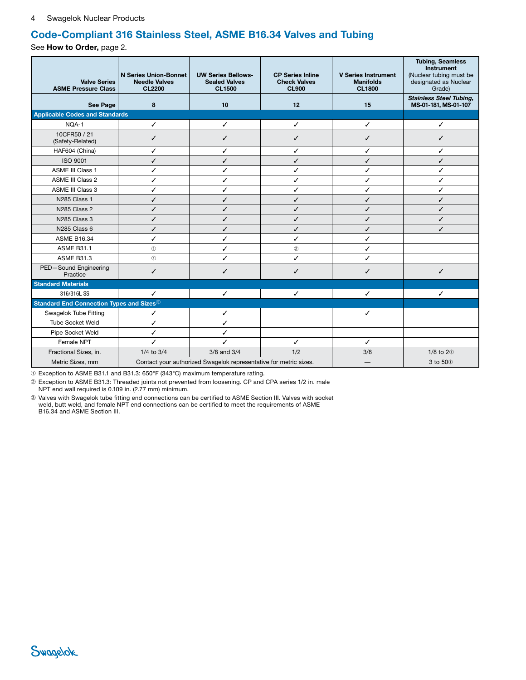# <span id="page-3-1"></span>Code-Compliant 316 Stainless Steel, ASME B16.34 Valves and Tubing

See How to Order, page [2](#page-1-0).

<span id="page-3-0"></span>

| <b>Valve Series</b><br><b>ASME Pressure Class</b>           | <b>N Series Union-Bonnet</b><br><b>Needle Valves</b><br><b>CL2200</b> | <b>UW Series Bellows-</b><br><b>Sealed Valves</b><br><b>CL1500</b> | <b>CP Series Inline</b><br><b>Check Valves</b><br><b>CL900</b> | <b>V Series Instrument</b><br><b>Manifolds</b><br><b>CL1800</b> | <b>Tubing, Seamless</b><br>Instrument<br>(Nuclear tubing must be<br>designated as Nuclear<br>Grade) |
|-------------------------------------------------------------|-----------------------------------------------------------------------|--------------------------------------------------------------------|----------------------------------------------------------------|-----------------------------------------------------------------|-----------------------------------------------------------------------------------------------------|
| See Page                                                    | 8                                                                     | 10                                                                 | 12                                                             | 15                                                              | <b>Stainless Steel Tubing,</b><br>MS-01-181, MS-01-107                                              |
| <b>Applicable Codes and Standards</b>                       |                                                                       |                                                                    |                                                                |                                                                 |                                                                                                     |
| NQA-1                                                       | ✓                                                                     | ✓                                                                  | ✓                                                              | ✓                                                               | ✓                                                                                                   |
| 10CFR50 / 21<br>(Safety-Related)                            | ✓                                                                     | ✓                                                                  | ✓                                                              | ✓                                                               | ✓                                                                                                   |
| HAF604 (China)                                              | ✓                                                                     | ✓                                                                  | ✓                                                              | ✓                                                               | ✓                                                                                                   |
| <b>ISO 9001</b>                                             | ✓                                                                     | ✓                                                                  | ✓                                                              | ✓                                                               | ✓                                                                                                   |
| <b>ASME III Class 1</b>                                     | ✓                                                                     | ✓                                                                  | ✓                                                              | ✓                                                               | ✓                                                                                                   |
| ASME III Class 2                                            | ✓                                                                     | ✓                                                                  | ✓                                                              | ✓                                                               | ✓                                                                                                   |
| ASME III Class 3                                            | ✓                                                                     | ✓                                                                  | ✓                                                              | ✓                                                               | ✓                                                                                                   |
| <b>N285 Class 1</b>                                         | ✓                                                                     | ✓                                                                  | ✓                                                              | ✓                                                               | ✓                                                                                                   |
| N285 Class 2                                                | ✓                                                                     | J                                                                  | ✓                                                              | ✓                                                               | ✓                                                                                                   |
| N285 Class 3                                                | ✓                                                                     | ✓                                                                  | ✓                                                              | ✓                                                               | ✓                                                                                                   |
| N285 Class 6                                                | ✓                                                                     | ✓                                                                  | ✓                                                              | ✓                                                               | ✓                                                                                                   |
| <b>ASME B16.34</b>                                          | ✓                                                                     | ✓                                                                  | ✓                                                              | ✓                                                               |                                                                                                     |
| <b>ASME B31.1</b>                                           | $\circled{1}$                                                         | ✓                                                                  | $^\copyright$                                                  | ✓                                                               |                                                                                                     |
| <b>ASME B31.3</b>                                           | (1)                                                                   | ✓                                                                  | ✓                                                              | ✓                                                               |                                                                                                     |
| PED-Sound Engineering<br>Practice                           | ✓                                                                     | ✓                                                                  | ✓                                                              | ✓                                                               | ✓                                                                                                   |
| <b>Standard Materials</b>                                   |                                                                       |                                                                    |                                                                |                                                                 |                                                                                                     |
| 316/316LSS                                                  | ✓                                                                     | ✓                                                                  | ✓                                                              | ✓                                                               | ✓                                                                                                   |
| <b>Standard End Connection Types and Sizes</b> <sup>3</sup> |                                                                       |                                                                    |                                                                |                                                                 |                                                                                                     |
| Swagelok Tube Fitting                                       | ✓                                                                     | ✓                                                                  |                                                                | ✓                                                               |                                                                                                     |
| <b>Tube Socket Weld</b>                                     | ✓                                                                     | ✓                                                                  |                                                                |                                                                 |                                                                                                     |
| Pipe Socket Weld                                            | ✓                                                                     | ✓                                                                  |                                                                |                                                                 |                                                                                                     |
| Female NPT                                                  | ✓                                                                     | ✓                                                                  | ✓                                                              | ✓                                                               |                                                                                                     |
| Fractional Sizes, in.                                       | $1/4$ to $3/4$                                                        | 3/8 and 3/4                                                        | 1/2                                                            | 3/8                                                             | $1/8$ to $20$                                                                                       |
| Metric Sizes, mm                                            |                                                                       | Contact your authorized Swagelok representative for metric sizes.  |                                                                |                                                                 | 3 to 500                                                                                            |

➀ Exception to ASME B31.1 and B31.3: 650°F (343°C) maximum temperature rating.

➁ Exception to ASME B31.3: Threaded joints not prevented from loosening. CP and CPA series 1/2 in. male NPT end wall required is 0.109 in. (2.77 mm) minimum.

➂ Valves with Swagelok tube fitting end connections can be certified to ASME Section III. Valves with socket weld, butt weld, and female NPT end connections can be certified to meet the requirements of ASME B16.34 and ASME Section III.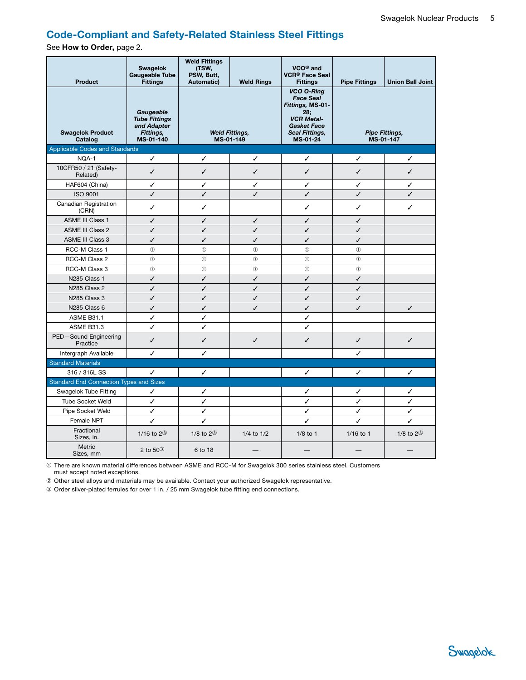# <span id="page-4-2"></span>Code-Compliant and Safety-Related Stainless Steel Fittings

See How to Order, page [2](#page-1-0).

<span id="page-4-1"></span><span id="page-4-0"></span>

| <b>Product</b>                                 | <b>Swagelok</b><br><b>Gaugeable Tube</b><br><b>Fittings</b>                | <b>Weld Fittings</b><br>(TSW,<br>PSW, Butt,<br><b>Weld Rings</b><br><b>Automatic)</b> |                                    | VCO <sup>®</sup> and<br><b>VCR<sup>®</sup> Face Seal</b><br><b>Fittings</b>                                                               | <b>Pipe Fittings</b>               | <b>Union Ball Joint</b> |  |
|------------------------------------------------|----------------------------------------------------------------------------|---------------------------------------------------------------------------------------|------------------------------------|-------------------------------------------------------------------------------------------------------------------------------------------|------------------------------------|-------------------------|--|
| <b>Swagelok Product</b><br>Catalog             | Gaugeable<br><b>Tube Fittings</b><br>and Adapter<br>Fittings,<br>MS-01-140 |                                                                                       | <b>Weld Fittings,</b><br>MS-01-149 | <b>VCO O-Ring</b><br><b>Face Seal</b><br>Fittings, MS-01-<br>28:<br><b>VCR Metal-</b><br><b>Gasket Face</b><br>Seal Fittings,<br>MS-01-24 | <b>Pipe Fittings,</b><br>MS-01-147 |                         |  |
| <b>Applicable Codes and Standards</b>          |                                                                            |                                                                                       |                                    |                                                                                                                                           |                                    |                         |  |
| NQA-1                                          | ✓                                                                          | ✓                                                                                     | ✓                                  | ✓                                                                                                                                         | ✓                                  | ✓                       |  |
| 10CFR50 / 21 (Safety-<br>Related)              | ✓                                                                          | ✓                                                                                     | ✓                                  | ✓                                                                                                                                         | ✓                                  | ✓                       |  |
| HAF604 (China)                                 | ✓                                                                          | ✓                                                                                     | ✓                                  | ✓                                                                                                                                         | ✓                                  | ✓                       |  |
| <b>ISO 9001</b>                                | ✓                                                                          | ✓                                                                                     | ✓                                  | ✓                                                                                                                                         | ✓                                  | ✓                       |  |
| Canadian Registration<br>(CRN)                 | ✓                                                                          | ✓                                                                                     |                                    | ✓                                                                                                                                         | ✓                                  | ✓                       |  |
| <b>ASME III Class 1</b>                        | ✓                                                                          | ✓                                                                                     | ✓                                  | ✓                                                                                                                                         | ✓                                  |                         |  |
| <b>ASME III Class 2</b>                        | ✓                                                                          | ✓                                                                                     | ✓                                  | ✓                                                                                                                                         | ✓                                  |                         |  |
| <b>ASME III Class 3</b>                        | ✓                                                                          | ✓                                                                                     | ✓                                  | ✓                                                                                                                                         | ✓                                  |                         |  |
| RCC-M Class 1                                  | $\circled{1}$                                                              | $\circled{1}$                                                                         | $\circled{1}$                      | $\circled{1}$                                                                                                                             | $\circled{1}$                      |                         |  |
| RCC-M Class 2                                  | $^{\circ}$                                                                 | $\circled{1}$                                                                         | $^{\circ}$                         | (1)                                                                                                                                       | (1)                                |                         |  |
| RCC-M Class 3                                  | $\circled{1}$                                                              | $\circled{1}$                                                                         | $\circled{1}$                      | $\odot$                                                                                                                                   | $\odot$                            |                         |  |
| N285 Class 1                                   | ✓                                                                          | ✓                                                                                     | ✓                                  | ✓                                                                                                                                         | ✓                                  |                         |  |
| N <sub>285</sub> Class <sub>2</sub>            | ✓                                                                          | ✓                                                                                     | ✓                                  | ✓                                                                                                                                         | ✓                                  |                         |  |
| N285 Class 3                                   | ✓                                                                          | ✓                                                                                     | ✓                                  | ✓                                                                                                                                         | ✓                                  |                         |  |
| N285 Class 6                                   | ✓                                                                          | ✓                                                                                     | J                                  | ✓                                                                                                                                         | ✓                                  | ✓                       |  |
| <b>ASME B31.1</b>                              | ✓                                                                          | ✓                                                                                     |                                    | ✓                                                                                                                                         |                                    |                         |  |
| <b>ASME B31.3</b>                              | ✓                                                                          | ✓                                                                                     |                                    | ✓                                                                                                                                         |                                    |                         |  |
| PED-Sound Engineering<br>Practice              | ✓                                                                          | ✓                                                                                     | ✓                                  | ✓                                                                                                                                         | ✓                                  | ✓                       |  |
| Intergraph Available                           | ✓                                                                          | ✓                                                                                     |                                    |                                                                                                                                           | ✓                                  |                         |  |
| <b>Standard Materials</b>                      |                                                                            |                                                                                       |                                    |                                                                                                                                           |                                    |                         |  |
| 316 / 316L SS                                  | ✓                                                                          | ✓                                                                                     |                                    | ✓                                                                                                                                         | ✓                                  | ✓                       |  |
| <b>Standard End Connection Types and Sizes</b> |                                                                            |                                                                                       |                                    |                                                                                                                                           |                                    |                         |  |
| Swagelok Tube Fitting                          | ✓                                                                          | ✓                                                                                     |                                    | ✓                                                                                                                                         | ✓                                  | ✓                       |  |
| <b>Tube Socket Weld</b>                        | ✓                                                                          | ✓                                                                                     |                                    | ✓                                                                                                                                         | ✓                                  | ✓                       |  |
| Pipe Socket Weld                               | ✓                                                                          | ✓                                                                                     |                                    | ✓                                                                                                                                         | ✓                                  | ✓                       |  |
| Female NPT                                     | ✓                                                                          | ✓                                                                                     |                                    | J                                                                                                                                         | J                                  | ✓                       |  |
| Fractional<br>Sizes, in.                       | 1/16 to $2^{\circledR}$                                                    | 1/8 to $2^{\circledR}$                                                                | $1/4$ to $1/2$                     | $1/8$ to 1                                                                                                                                | $1/16$ to 1                        | 1/8 to $2^{\circledS}$  |  |
| Metric<br>Sizes, mm                            | 2 to $50^\circ$                                                            | 6 to 18                                                                               |                                    |                                                                                                                                           |                                    |                         |  |

➀ There are known material differences between ASME and RCC-M for Swagelok 300 series stainless steel. Customers must accept noted exceptions.

➁ Other steel alloys and materials may be available. Contact your authorized Swagelok representative.

➂ Order silver-plated ferrules for over 1 in. / 25 mm Swagelok tube fitting end connections.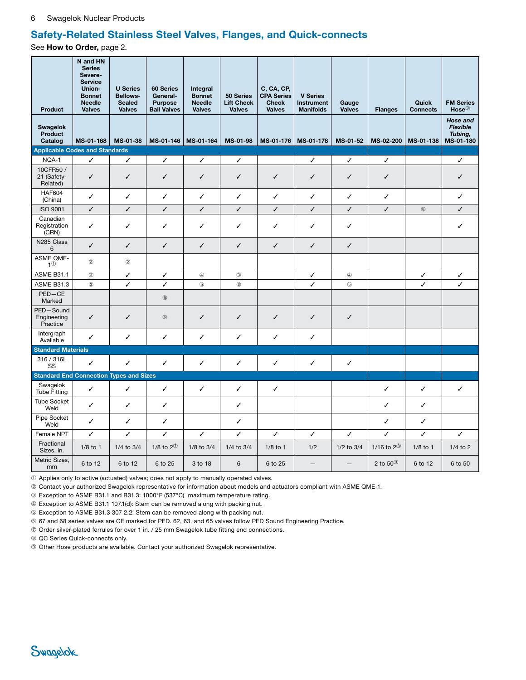### <span id="page-5-0"></span>Safety-Related Stainless Steel Valves, Flanges, and Quick-connects

See How to Order, page [2](#page-1-0).

| <b>Product</b>                                 | N and HN<br><b>Series</b><br>Severe-<br><b>Service</b><br>Union-<br><b>Bonnet</b><br><b>Needle</b><br><b>Valves</b> | <b>U</b> Series<br><b>Bellows-</b><br><b>Sealed</b><br><b>Valves</b> | 60 Series<br>General-<br><b>Purpose</b><br><b>Ball Valves</b> | Integral<br><b>Bonnet</b><br><b>Needle</b><br><b>Valves</b> | 50 Series<br><b>Lift Check</b><br><b>Valves</b> | C, CA, CP,<br><b>CPA Series</b><br><b>Check</b><br><b>Valves</b> | <b>V Series</b><br><b>Instrument</b><br><b>Manifolds</b> | Gauge<br><b>Valves</b> | <b>Flanges</b>          | Quick<br><b>Connects</b> | <b>FM Series</b><br>$Hose^@$                        |
|------------------------------------------------|---------------------------------------------------------------------------------------------------------------------|----------------------------------------------------------------------|---------------------------------------------------------------|-------------------------------------------------------------|-------------------------------------------------|------------------------------------------------------------------|----------------------------------------------------------|------------------------|-------------------------|--------------------------|-----------------------------------------------------|
| <b>Swagelok</b><br><b>Product</b><br>Catalog   | MS-01-168                                                                                                           | MS-01-38                                                             | MS-01-146                                                     | MS-01-164                                                   | MS-01-98                                        | MS-01-176                                                        | MS-01-178                                                | MS-01-52               | MS-02-200               | MS-01-138                | Hose and<br><b>Flexible</b><br>Tubing,<br>MS-01-180 |
| <b>Applicable Codes and Standards</b>          |                                                                                                                     |                                                                      |                                                               |                                                             |                                                 |                                                                  |                                                          |                        |                         |                          |                                                     |
| NQA-1                                          | ✓                                                                                                                   | ✓                                                                    | ✓                                                             | ✓                                                           | ✓                                               |                                                                  | ✓                                                        | ✓                      | ✓                       |                          | ✓                                                   |
| 10CFR50/<br>21 (Safety-<br>Related)            | ✓                                                                                                                   | ✓                                                                    | ✓                                                             | $\checkmark$                                                | ✓                                               | $\checkmark$                                                     | ✓                                                        | ✓                      | ✓                       |                          | ✓                                                   |
| <b>HAF604</b><br>(China)                       | ✓                                                                                                                   | ✓                                                                    | ✓                                                             | ✓                                                           | ✓                                               | ✓                                                                | $\checkmark$                                             | ✓                      | ✓                       |                          | ✓                                                   |
| <b>ISO 9001</b>                                | ✓                                                                                                                   | ✓                                                                    | ✓                                                             | ✓                                                           | ✓                                               | ✓                                                                | ✓                                                        | ✓                      | ✓                       | $\circledR$              | ✓                                                   |
| Canadian<br>Registration<br>(CRN)              | ✓                                                                                                                   | ✓                                                                    | ✓                                                             | ✓                                                           | ✓                                               | ✓                                                                | $\checkmark$                                             | ✓                      |                         |                          | ✓                                                   |
| N285 Class<br>6                                | ✓                                                                                                                   | ✓                                                                    | ✓                                                             | $\checkmark$                                                | ✓                                               | ✓                                                                | $\checkmark$                                             | ✓                      |                         |                          |                                                     |
| ASME QME-<br>1 <sup>0</sup>                    | $^\circledR$                                                                                                        | $^\circledR$                                                         |                                                               |                                                             |                                                 |                                                                  |                                                          |                        |                         |                          |                                                     |
| <b>ASME B31.1</b>                              | $^\circledR$                                                                                                        | ✓                                                                    | ✓                                                             | $^{\circledR}$                                              | $\circled{3}$                                   |                                                                  | ✓                                                        | $^{\circledR}$         |                         | ✓                        | ✓                                                   |
| ASME B31.3                                     | $\circled{3}$                                                                                                       | ✓                                                                    | ✓                                                             | $\circledS$                                                 | $\circled{3}$                                   |                                                                  | ✓                                                        | $\circledS$            |                         | ✓                        | ✓                                                   |
| $PED - CE$<br>Marked                           |                                                                                                                     |                                                                      | $^\circledR$                                                  |                                                             |                                                 |                                                                  |                                                          |                        |                         |                          |                                                     |
| PED-Sound<br>Engineering<br>Practice           | ✓                                                                                                                   | $\checkmark$                                                         | $^\circledR$                                                  | $\checkmark$                                                | ✓                                               | $\checkmark$                                                     | $\checkmark$                                             | $\checkmark$           |                         |                          |                                                     |
| Intergraph<br>Available                        | ✓                                                                                                                   | ✓                                                                    | ✓                                                             | $\checkmark$                                                | ✓                                               | ✓                                                                | $\checkmark$                                             |                        |                         |                          |                                                     |
| <b>Standard Materials</b>                      |                                                                                                                     |                                                                      |                                                               |                                                             |                                                 |                                                                  |                                                          |                        |                         |                          |                                                     |
| 316 / 316L<br>SS                               | ✓                                                                                                                   | $\checkmark$                                                         | ✓                                                             | ✓                                                           | ✓                                               | ✓                                                                | $\checkmark$                                             | ✓                      |                         |                          |                                                     |
| <b>Standard End Connection Types and Sizes</b> |                                                                                                                     |                                                                      |                                                               |                                                             |                                                 |                                                                  |                                                          |                        |                         |                          |                                                     |
| Swagelok<br><b>Tube Fitting</b>                | ✓                                                                                                                   | $\checkmark$                                                         | ✓                                                             | $\checkmark$                                                | ✓                                               | ✓                                                                |                                                          |                        | ✓                       | ✓                        | ✓                                                   |
| <b>Tube Socket</b><br>Weld                     | ✓                                                                                                                   | ✓                                                                    | ✓                                                             |                                                             | ✓                                               |                                                                  |                                                          |                        | ✓                       | ✓                        |                                                     |
| Pipe Socket<br>Weld                            | ✓                                                                                                                   | ✓                                                                    | ✓                                                             |                                                             | ✓                                               |                                                                  |                                                          |                        | ✓                       | ✓                        |                                                     |
| Female NPT                                     | ✓                                                                                                                   | ✓                                                                    | ✓                                                             | ✓                                                           | ✓                                               | ✓                                                                | $\checkmark$                                             | ✓                      | ✓                       | ✓                        | ✓                                                   |
| Fractional<br>Sizes, in.                       | $1/8$ to 1                                                                                                          | 1/4 to 3/4                                                           | 1/8 to $2^{\circledD}$                                        | $1/8$ to $3/4$                                              | 1/4 to 3/4                                      | $1/8$ to 1                                                       | 1/2                                                      | 1/2 to 3/4             | 1/16 to $2^{\circledR}$ | $1/8$ to 1               | $1/4$ to $2$                                        |
| Metric Sizes,<br>mm                            | 6 to 12                                                                                                             | 6 to 12                                                              | 6 to 25                                                       | 3 to 18                                                     | 6                                               | 6 to 25                                                          | $\overline{\phantom{0}}$                                 |                        | 2 to $50^\circ$         | 6 to 12                  | 6 to 50                                             |

➀ Applies only to active (actuated) valves; does not apply to manually operated valves.

➁ Contact your authorized Swagelok representative for information about models and actuators compliant with ASME QME-1.

➂ Exception to ASME B31.1 and B31.3: 1000°F (537°C) maximum temperature rating.

➃ Exception to ASME B31.1 107.1(d): Stem can be removed along with packing nut.

➄ Exception to ASME B31.3 307 2.2: Stem can be removed along with packing nut.

➅ 67 and 68 series valves are CE marked for PED. 62, 63, and 65 valves follow PED Sound Engineering Practice.

➆ Order silver-plated ferrules for over 1 in. / 25 mm Swagelok tube fitting end connections.

➇ QC Series Quick-connects only.

➈ Other Hose products are available. Contact your authorized Swagelok representative.

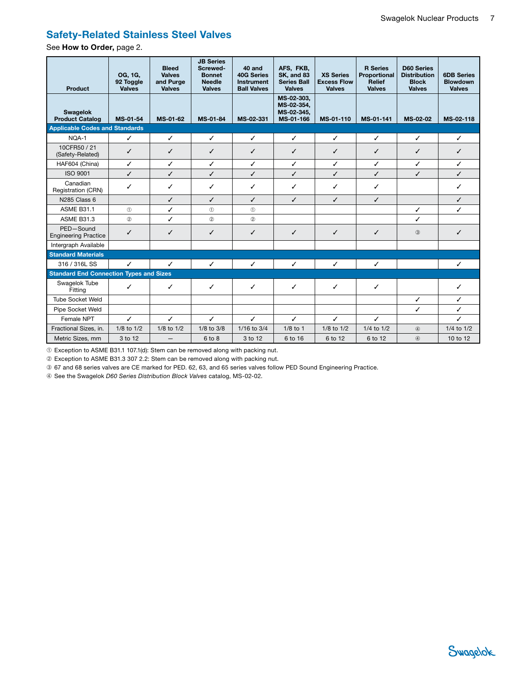## <span id="page-6-1"></span>Safety-Related Stainless Steel Valves

See How to Order, page [2](#page-1-0).

<span id="page-6-0"></span>

| Product                                        | OG, 1G,<br>92 Toggle<br><b>Valves</b> | <b>Bleed</b><br><b>Valves</b><br>and Purge<br><b>Valves</b> | <b>JB Series</b><br>Screwed-<br><b>Bonnet</b><br><b>Needle</b><br><b>Valves</b> | 40 and<br><b>40G Series</b><br><b>Instrument</b><br><b>Ball Valves</b> | AFS, FKB,<br><b>SK, and 83</b><br><b>Series Ball</b><br><b>Valves</b> | <b>XS Series</b><br><b>Excess Flow</b><br><b>Valves</b> | <b>R</b> Series<br>Proportional<br><b>Relief</b><br><b>Valves</b> | <b>D60 Series</b><br><b>Distribution</b><br><b>Block</b><br><b>Valves</b> | <b>6DB Series</b><br><b>Blowdown</b><br><b>Valves</b> |
|------------------------------------------------|---------------------------------------|-------------------------------------------------------------|---------------------------------------------------------------------------------|------------------------------------------------------------------------|-----------------------------------------------------------------------|---------------------------------------------------------|-------------------------------------------------------------------|---------------------------------------------------------------------------|-------------------------------------------------------|
| <b>Swagelok</b><br><b>Product Catalog</b>      | MS-01-54                              | MS-01-62                                                    | MS-01-84                                                                        | MS-02-331                                                              | MS-02-303,<br>MS-02-354.<br>MS-02-345,<br>MS-01-166                   | MS-01-110                                               | MS-01-141                                                         | MS-02-02                                                                  | MS-02-118                                             |
| <b>Applicable Codes and Standards</b>          |                                       |                                                             |                                                                                 |                                                                        |                                                                       |                                                         |                                                                   |                                                                           |                                                       |
| NQA-1                                          | $\checkmark$                          | ✓                                                           | ✓                                                                               | ✓                                                                      | $\checkmark$                                                          | $\checkmark$                                            | $\checkmark$                                                      | ✓                                                                         | ✓                                                     |
| 10CFR50 / 21<br>(Safety-Related)               | ✓                                     | ✓                                                           | ✓                                                                               | ✓                                                                      | ✓                                                                     | ✓                                                       | ✓                                                                 | ✓                                                                         | ✓                                                     |
| HAF604 (China)                                 | ✓                                     | ✓                                                           | ✓                                                                               | ✓                                                                      | ✓                                                                     | $\checkmark$                                            | $\checkmark$                                                      | ✓                                                                         | ✓                                                     |
| <b>ISO 9001</b>                                | ✓                                     | ✓                                                           | ✓                                                                               | ✓                                                                      | ✓                                                                     | ✓                                                       | ✓                                                                 | ✓                                                                         | ✓                                                     |
| Canadian<br>Registration (CRN)                 | ✓                                     | ✓                                                           | ✓                                                                               | ✓                                                                      | ✓                                                                     | ✓                                                       | ✓                                                                 |                                                                           | ✓                                                     |
| N285 Class 6                                   |                                       | ✓                                                           | $\checkmark$                                                                    | ✓                                                                      | ✓                                                                     | $\checkmark$                                            | ✓                                                                 |                                                                           | $\checkmark$                                          |
| <b>ASME B31.1</b>                              | (1)                                   | ✓                                                           | $\circled{1}$                                                                   | $\circled{1}$                                                          |                                                                       |                                                         |                                                                   | $\checkmark$                                                              | ✓                                                     |
| <b>ASME B31.3</b>                              | $^{\circ}$                            | ✓                                                           | $^{\circ}$                                                                      | $\circled{2}$                                                          |                                                                       |                                                         |                                                                   | ✓                                                                         |                                                       |
| PED-Sound<br><b>Engineering Practice</b>       | ✓                                     | ✓                                                           | ✓                                                                               | $\checkmark$                                                           | ✓                                                                     | ✓                                                       | ✓                                                                 | $\circled{3}$                                                             | ✓                                                     |
| Intergraph Available                           |                                       |                                                             |                                                                                 |                                                                        |                                                                       |                                                         |                                                                   |                                                                           |                                                       |
| <b>Standard Materials</b>                      |                                       |                                                             |                                                                                 |                                                                        |                                                                       |                                                         |                                                                   |                                                                           |                                                       |
| 316 / 316L SS                                  | $\checkmark$                          | ✓                                                           | ✓                                                                               | $\checkmark$                                                           | $\checkmark$                                                          | $\checkmark$                                            | $\checkmark$                                                      |                                                                           | ✓                                                     |
| <b>Standard End Connection Types and Sizes</b> |                                       |                                                             |                                                                                 |                                                                        |                                                                       |                                                         |                                                                   |                                                                           |                                                       |
| Swagelok Tube<br>Fitting                       | $\checkmark$                          | ✓                                                           | ✓                                                                               | ✓                                                                      | ✓                                                                     | ✓                                                       | ✓                                                                 |                                                                           | ✓                                                     |
| <b>Tube Socket Weld</b>                        |                                       |                                                             |                                                                                 |                                                                        |                                                                       |                                                         |                                                                   | ✓                                                                         | ✓                                                     |
| Pipe Socket Weld                               |                                       |                                                             |                                                                                 |                                                                        |                                                                       |                                                         |                                                                   | ✓                                                                         | ✓                                                     |
| Female NPT                                     | ✓                                     | ✓                                                           | $\checkmark$                                                                    | ✓                                                                      | ✓                                                                     | $\checkmark$                                            | ✓                                                                 |                                                                           | ✓                                                     |
| Fractional Sizes, in.                          | 1/8 to 1/2                            | $1/8$ to $1/2$                                              | $1/8$ to $3/8$                                                                  | 1/16 to 3/4                                                            | $1/8$ to 1                                                            | 1/8 to 1/2                                              | 1/4 to 1/2                                                        | $^\circledR$                                                              | 1/4 to 1/2                                            |
| Metric Sizes, mm                               | 3 to 12                               | —                                                           | 6 to 8                                                                          | 3 to 12                                                                | 6 to 16                                                               | 6 to 12                                                 | 6 to 12                                                           | $\circled{4}$                                                             | 10 to 12                                              |

➀ Exception to ASME B31.1 107.1(d): Stem can be removed along with packing nut.

➁ Exception to ASME B31.3 307 2.2: Stem can be removed along with packing nut.

➂ 67 and 68 series valves are CE marked for PED. 62, 63, and 65 series valves follow PED Sound Engineering Practice.

➃ See the Swagelok *D60 Series Distribution Block Valves* catalog, [MS-02-02.](http://www.swagelok.com/downloads/webcatalogs/EN/MS-02-02.PDF)

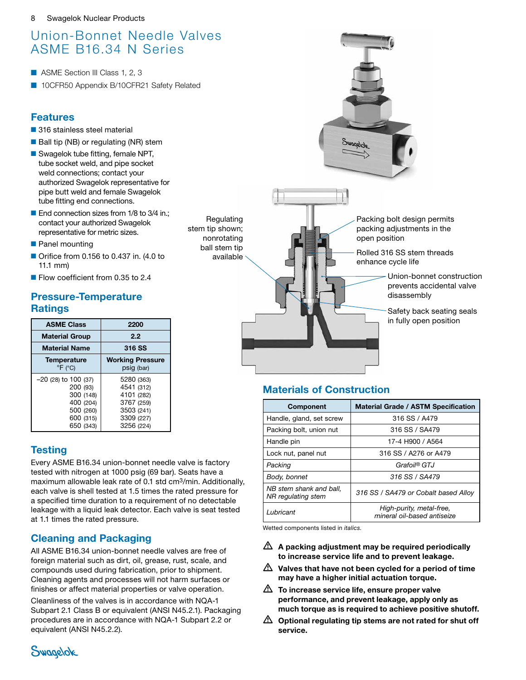# <span id="page-7-0"></span>Union-Bonnet Needle Valves ASME B16.34 N Series

- ASME Section III Class 1, 2, 3
- 10CFR50 Appendix B/10CFR21 Safety Related

# Features

- 316 stainless steel material
- Ball tip (NB) or regulating (NR) stem
- Swagelok tube fitting, female NPT, tube socket weld, and pipe socket weld connections; contact your authorized Swagelok representative for pipe butt weld and female Swagelok tube fitting end connections.
- End connection sizes from 1/8 to 3/4 in.; contact your authorized Swagelok representative for metric sizes.
- Panel mounting
- Orifice from 0.156 to 0.437 in. (4.0 to 11.1 mm)
- Flow coefficient from 0.35 to 2.4

# Pressure-Temperature **Ratings**

| <b>ASME Class</b>                                                                                   | 2200                                                                                           |  |  |  |
|-----------------------------------------------------------------------------------------------------|------------------------------------------------------------------------------------------------|--|--|--|
| <b>Material Group</b>                                                                               | 2.2                                                                                            |  |  |  |
| <b>Material Name</b>                                                                                | 316 SS                                                                                         |  |  |  |
| Temperature<br>$\mathrm{P}F$ ( $\mathrm{C}$ )                                                       | <b>Working Pressure</b><br>psig (bar)                                                          |  |  |  |
| $-20$ (28) to 100 (37)<br>200 (93)<br>300 (148)<br>400 (204)<br>500 (260)<br>600 (315)<br>650 (343) | 5280 (363)<br>4541 (312)<br>4101 (282)<br>3767 (259)<br>3503 (241)<br>3309 (227)<br>3256 (224) |  |  |  |

# **Testing**

Every ASME B16.34 union-bonnet needle valve is factory tested with nitrogen at 1000 psig (69 bar). Seats have a maximum allowable leak rate of 0.1 std cm3/min. Additionally, each valve is shell tested at 1.5 times the rated pressure for a specified time duration to a requirement of no detectable leakage with a liquid leak detector. Each valve is seat tested at 1.1 times the rated pressure.

# Cleaning and Packaging

All ASME B16.34 union-bonnet needle valves are free of foreign material such as dirt, oil, grease, rust, scale, and compounds used during fabrication, prior to shipment. Cleaning agents and processes will not harm surfaces or finishes or affect material properties or valve operation.

Cleanliness of the valves is in accordance with NQA-1 Subpart 2.1 Class B or equivalent (ANSI N45.2.1). Packaging procedures are in accordance with NQA-1 Subpart 2.2 or equivalent (ANSI N45.2.2).



Regulating stem tip shown; nonrotating ball stem tip available



# Materials of Construction

| <b>Component</b>                              | <b>Material Grade / ASTM Specification</b>              |
|-----------------------------------------------|---------------------------------------------------------|
| Handle, gland, set screw                      | 316 SS / A479                                           |
| Packing bolt, union nut                       | 316 SS / SA479                                          |
| Handle pin                                    | 17-4 H900 / A564                                        |
| Lock nut, panel nut                           | 316 SS / A276 or A479                                   |
| Packing                                       | Grafoil® GTJ                                            |
| Body, bonnet                                  | 316 SS / SA479                                          |
| NB stem shank and ball,<br>NR regulating stem | 316 SS / SA479 or Cobalt based Alloy                    |
| Lubricant                                     | High-purity, metal-free,<br>mineral oil-based antiseize |

Wetted components listed in *italics.*

- $\triangle$  A packing adjustment may be required periodically to increase service life and to prevent leakage.
- $\triangle$  Valves that have not been cycled for a period of time may have a higher initial actuation torque.
- $\triangle$  To increase service life, ensure proper valve performance, and prevent leakage, apply only as much torque as is required to achieve positive shutoff.
- $\triangle$  Optional regulating tip stems are not rated for shut off service.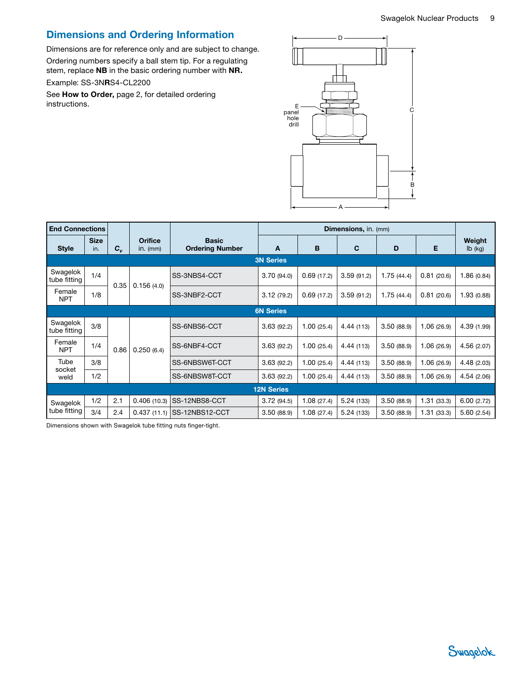# Dimensions and Ordering Information

Dimensions are for reference only and are subject to change. Ordering numbers specify a ball stem tip. For a regulating

stem, replace NB in the basic ordering number with NR.

#### Example: SS-3NRS4-CL2200

See How to Order, page [2](#page-1-0), for detailed ordering instructions.



| <b>End Connections</b>   |                    |         |                              |                                        |                   |            |            |            |            |                              |
|--------------------------|--------------------|---------|------------------------------|----------------------------------------|-------------------|------------|------------|------------|------------|------------------------------|
| <b>Style</b>             | <b>Size</b><br>in. | $c_{v}$ | <b>Orifice</b><br>$in.$ (mm) | <b>Basic</b><br><b>Ordering Number</b> | A                 | в          | C          | D          | Е          | Weight<br>$I\mathsf{b}$ (kg) |
|                          |                    |         |                              |                                        | <b>3N Series</b>  |            |            |            |            |                              |
| Swagelok<br>tube fitting | 1/4                | 0.35    | 0.156(4.0)                   | SS-3NBS4-CCT                           | 3.70(94.0)        | 0.69(17.2) | 3.59(91.2) | 1.75(44.4) | 0.81(20.6) | 1.86(0.84)                   |
| Female<br><b>NPT</b>     | 1/8                |         |                              | SS-3NBF2-CCT                           | 3.12(79.2)        | 0.69(17.2) | 3.59(91.2) | 1.75(44.4) | 0.81(20.6) | 1.93 (0.88)                  |
|                          | <b>6N Series</b>   |         |                              |                                        |                   |            |            |            |            |                              |
| Swagelok<br>tube fitting | 3/8                |         |                              | SS-6NBS6-CCT                           | 3.63(92.2)        | 1.00(25.4) | 4.44 (113) | 3.50(88.9) | 1.06(26.9) | 4.39 (1.99)                  |
| Female<br><b>NPT</b>     | 1/4                | 0.86    | 0.250(6.4)                   | SS-6NBF4-CCT                           | 3.63(92.2)        | 1.00(25.4) | 4.44 (113) | 3.50(88.9) | 1.06(26.9) | 4.56 (2.07)                  |
| Tube                     | 3/8                |         |                              | SS-6NBSW6T-CCT                         | 3.63(92.2)        | 1.00(25.4) | 4.44 (113) | 3.50(88.9) | 1.06(26.9) | 4.48 (2.03)                  |
| socket<br>weld           | 1/2                |         |                              | SS-6NBSW8T-CCT                         | 3.63(92.2)        | 1.00(25.4) | 4.44 (113) | 3.50(88.9) | 1.06(26.9) | 4.54(2.06)                   |
|                          |                    |         |                              |                                        | <b>12N Series</b> |            |            |            |            |                              |
| Swagelok                 | 1/2                | 2.1     | 0.406(10.3)                  | SS-12NBS8-CCT                          | 3.72(94.5)        | 1.08(27.4) | 5.24(133)  | 3.50(88.9) | 1.31(33.3) | 6.00(2.72)                   |
| tube fitting             | 3/4                | 2.4     | 0.437(11.1)                  | SS-12NBS12-CCT                         | 3.50(88.9)        | 1.08(27.4) | 5.24(133)  | 3.50(88.9) | 1.31(33.3) | 5.60(2.54)                   |

Dimensions shown with Swagelok tube fitting nuts finger-tight.

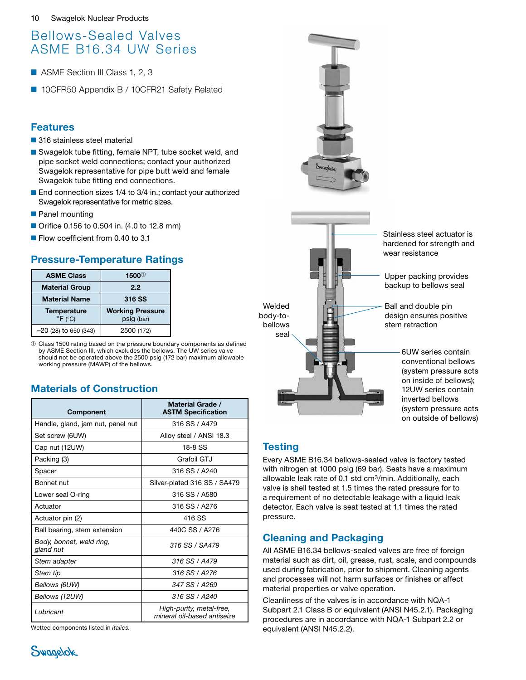# <span id="page-9-0"></span>Bellows-Sealed Valves ASME B16.34 UW Series

- ASME Section III Class 1, 2, 3
- 10CFR50 Appendix B / 10CFR21 Safety Related

# Features

- 316 stainless steel material
- Swagelok tube fitting, female NPT, tube socket weld, and pipe socket weld connections; contact your authorized Swagelok representative for pipe butt weld and female Swagelok tube fitting end connections.
- End connection sizes 1/4 to 3/4 in.; contact your authorized Swagelok representative for metric sizes.
- Panel mounting
- Orifice 0.156 to 0.504 in. (4.0 to 12.8 mm)
- Flow coefficient from 0.40 to 3.1

# Pressure-Temperature Ratings

| <b>ASME Class</b>                                    | $1500^\circ$                          |  |  |  |
|------------------------------------------------------|---------------------------------------|--|--|--|
| <b>Material Group</b>                                | 2.2                                   |  |  |  |
| <b>Material Name</b>                                 | 316 SS                                |  |  |  |
| <b>Temperature</b><br>$\mathrm{P}F$ ( $\mathrm{C}$ ) | <b>Working Pressure</b><br>psig (bar) |  |  |  |
| $-20$ (28) to 650 (343)                              | 2500 (172)                            |  |  |  |

➀ Class 1500 rating based on the pressure boundary components as defined by ASME Section III, which excludes the bellows. The UW series valve should not be operated above the 2500 psig (172 bar) maximum allowable working pressure (MAWP) of the bellows.

# Materials of Construction

| <b>Component</b>                      | Material Grade /<br><b>ASTM Specification</b>           |
|---------------------------------------|---------------------------------------------------------|
| Handle, gland, jam nut, panel nut     | 316 SS / A479                                           |
| Set screw (6UW)                       | Alloy steel / ANSI 18.3                                 |
| Cap nut (12UW)                        | 18-8 SS                                                 |
| Packing (3)                           | Grafoil GT.I                                            |
| Spacer                                | 316 SS / A240                                           |
| Bonnet nut                            | Silver-plated 316 SS / SA479                            |
| Lower seal O-ring                     | 316 SS / A580                                           |
| Actuator                              | 316 SS / A276                                           |
| Actuator pin (2)                      | 416 SS                                                  |
| Ball bearing, stem extension          | 440C SS / A276                                          |
| Body, bonnet, weld ring,<br>gland nut | 316 SS / SA479                                          |
| Stem adapter                          | 316 SS / A479                                           |
| Stem tip                              | 316 SS / A276                                           |
| Bellows (6UW)                         | 347 SS / A269                                           |
| Bellows (12UW)                        | 316 SS / A240                                           |
| Lubricant                             | High-purity, metal-free,<br>mineral oil-based antiseize |

Wetted components listed in *italics.*



# **Testing**

Every ASME B16.34 bellows-sealed valve is factory tested with nitrogen at 1000 psig (69 bar). Seats have a maximum allowable leak rate of 0.1 std cm3/min. Additionally, each valve is shell tested at 1.5 times the rated pressure for to a requirement of no detectable leakage with a liquid leak detector. Each valve is seat tested at 1.1 times the rated pressure.

# Cleaning and Packaging

All ASME B16.34 bellows-sealed valves are free of foreign material such as dirt, oil, grease, rust, scale, and compounds used during fabrication, prior to shipment. Cleaning agents and processes will not harm surfaces or finishes or affect material properties or valve operation.

Cleanliness of the valves is in accordance with NQA-1 Subpart 2.1 Class B or equivalent (ANSI N45.2.1). Packaging procedures are in accordance with NQA-1 Subpart 2.2 or equivalent (ANSI N45.2.2).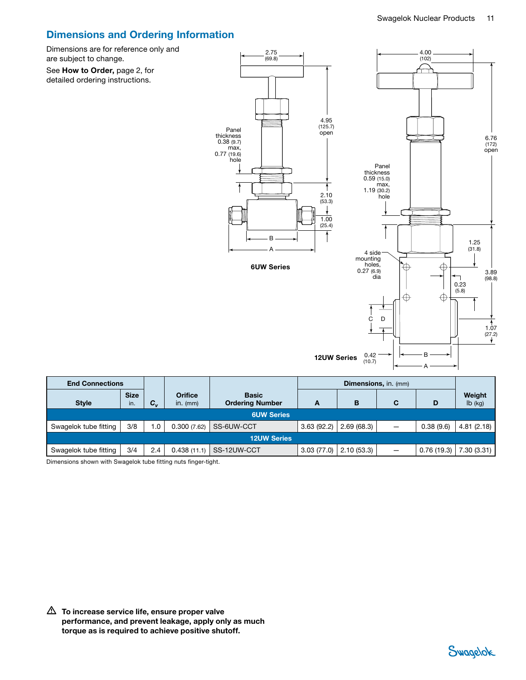# Dimensions and Ordering Information

Dimensions are for reference only and are subject to change.

See How to Order, page [2](#page-1-0), for detailed ordering instructions.



6UW Series



| <b>End Connections</b> |                    |             |                              |                                        |            | <b>Dimensions, in. (mm)</b> |                          |            |                     |
|------------------------|--------------------|-------------|------------------------------|----------------------------------------|------------|-----------------------------|--------------------------|------------|---------------------|
| <b>Style</b>           | <b>Size</b><br>in. | $c_{\rm v}$ | <b>Orifice</b><br>$in.$ (mm) | <b>Basic</b><br><b>Ordering Number</b> | A          | B                           | C                        | D          | Weight<br>$Ib$ (kg) |
| <b>6UW Series</b>      |                    |             |                              |                                        |            |                             |                          |            |                     |
| Swagelok tube fitting  | 3/8                | 1.0         | 0.300(7.62)                  | SS-6UW-CCT                             | 3.63(92.2) | 2.69(68.3)                  | $\overline{\phantom{0}}$ | 0.38(9.6)  | 4.81(2.18)          |
| <b>12UW Series</b>     |                    |             |                              |                                        |            |                             |                          |            |                     |
| Swagelok tube fitting  | 3/4                | 2.4         | 0.438(11.1)                  | SS-12UW-CCT                            | 3.03(77.0) | 2.10(53.3)                  | -                        | 0.76(19.3) | 7.30(3.31)          |

Dimensions shown with Swagelok tube fitting nuts finger-tight.

 $\triangle$  To increase service life, ensure proper valve performance, and prevent leakage, apply only as much torque as is required to achieve positive shutoff.

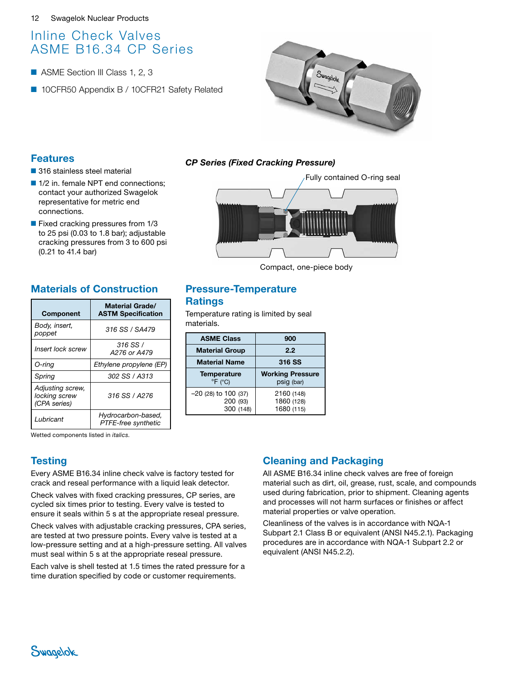# <span id="page-11-0"></span>Inline Check Valves ASME B16.34 CP Series

- ASME Section III Class 1, 2, 3
- 10CFR50 Appendix B / 10CFR21 Safety Related



#### Features

- 316 stainless steel material
- 1/2 in. female NPT end connections; contact your authorized Swagelok representative for metric end connections.
- Fixed cracking pressures from 1/3 to 25 psi (0.03 to 1.8 bar); adjustable cracking pressures from 3 to 600 psi (0.21 to 41.4 bar)

# Materials of Construction

| <b>Component</b>                                  | <b>Material Grade/</b><br><b>ASTM Specification</b> |
|---------------------------------------------------|-----------------------------------------------------|
| Body, insert,<br>poppet                           | 316 SS / SA479                                      |
| Insert lock screw                                 | 316 SS /<br>A276 or A479                            |
| O-ring                                            | Ethylene propylene (EP)                             |
| Spring                                            | 302 SS / A313                                       |
| Adjusting screw,<br>locking screw<br>(CPA series) | 316 SS / A276                                       |
| Lubricant                                         | Hydrocarbon-based,<br>PTFE-free synthetic           |

#### *CP Series (Fixed Cracking Pressure)*

Fully contained O-ring seal

Compact, one-piece body

### Pressure-Temperature **Ratings**

Temperature rating is limited by seal materials.

| <b>ASME Class</b>                                | 900                                    |  |
|--------------------------------------------------|----------------------------------------|--|
| <b>Material Group</b>                            | 2.2                                    |  |
| <b>Material Name</b>                             | 316 SS                                 |  |
| <b>Temperature</b><br>$\degree$ F ( $\degree$ C) | <b>Working Pressure</b><br>psig (bar)  |  |
| $-20$ (28) to 100 (37)<br>200 (93)<br>300 (148)  | 2160 (148)<br>1860 (128)<br>1680 (115) |  |

Wetted components listed in *italics.*

# **Testing**

Every ASME B16.34 inline check valve is factory tested for crack and reseal performance with a liquid leak detector.

Check valves with fixed cracking pressures, CP series, are cycled six times prior to testing. Every valve is tested to ensure it seals within 5 s at the appropriate reseal pressure.

Check valves with adjustable cracking pressures, CPA series, are tested at two pressure points. Every valve is tested at a low-pressure setting and at a high-pressure setting. All valves must seal within 5 s at the appropriate reseal pressure.

Each valve is shell tested at 1.5 times the rated pressure for a time duration specified by code or customer requirements.

# Cleaning and Packaging

All ASME B16.34 inline check valves are free of foreign material such as dirt, oil, grease, rust, scale, and compounds used during fabrication, prior to shipment. Cleaning agents and processes will not harm surfaces or finishes or affect material properties or valve operation.

Cleanliness of the valves is in accordance with NQA-1 Subpart 2.1 Class B or equivalent (ANSI N45.2.1). Packaging procedures are in accordance with NQA-1 Subpart 2.2 or equivalent (ANSI N45.2.2).

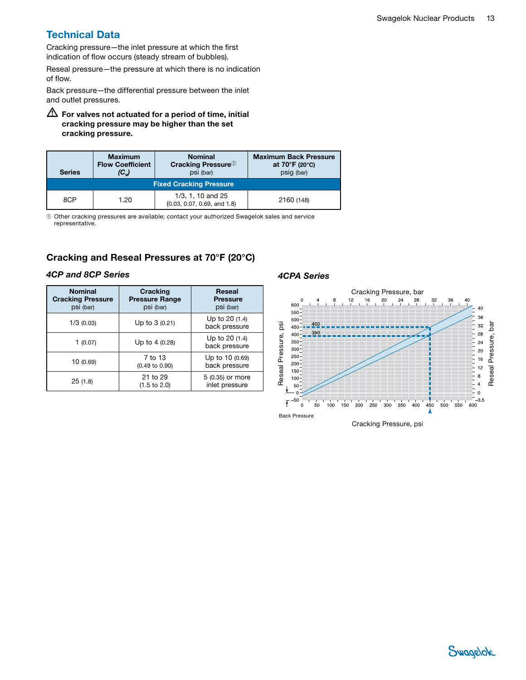# Technical Data

Cracking pressure—the inlet pressure at which the first indication of flow occurs (steady stream of bubbles).

Reseal pressure—the pressure at which there is no indication of flow.

Back pressure—the differential pressure between the inlet and outlet pressures.

 $\bigtriangleup$  For valves not actuated for a period of time, initial cracking pressure may be higher than the set cracking pressure.

| <b>Series</b>                  | <b>Maximum</b><br><b>Flow Coefficient</b><br>$(C_{\nu})$ | <b>Nominal</b><br><b>Cracking Pressure</b> <sup>1</sup><br>psi (bar) | <b>Maximum Back Pressure</b><br>at $70^{\circ}$ F (20 $^{\circ}$ C)<br>psig (bar) |  |
|--------------------------------|----------------------------------------------------------|----------------------------------------------------------------------|-----------------------------------------------------------------------------------|--|
| <b>Fixed Cracking Pressure</b> |                                                          |                                                                      |                                                                                   |  |
| 8CP                            | 1.20                                                     | 1/3, 1, 10 and 25<br>(0.03, 0.07, 0.69, and 1.8)                     | 2160 (148)                                                                        |  |

➀ Other cracking pressures are available; contact your authorized Swagelok sales and service representative.

### Cracking and Reseal Pressures at 70°F (20°C)

#### *4CP and 8CP Series*

| <b>Nominal</b><br><b>Cracking Pressure</b><br>psi (bar) | <b>Cracking</b><br><b>Pressure Range</b><br>psi (bar) | Reseal<br><b>Pressure</b><br>psi (bar) |
|---------------------------------------------------------|-------------------------------------------------------|----------------------------------------|
| 1/3(0.03)                                               | Up to $3(0.21)$                                       | Up to 20 (1.4)<br>back pressure        |
| 1(0.07)                                                 | Up to 4 (0.28)                                        | Up to 20 (1.4)<br>back pressure        |
| 10(0.69)                                                | 7 to 13<br>$(0.49 \text{ to } 0.90)$                  | Up to 10 (0.69)<br>back pressure       |
| 25(1.8)                                                 | 21 to 29<br>$(1.5 \text{ to } 2.0)$                   | 5 (0.35) or more<br>inlet pressure     |

#### *4CPA Series*

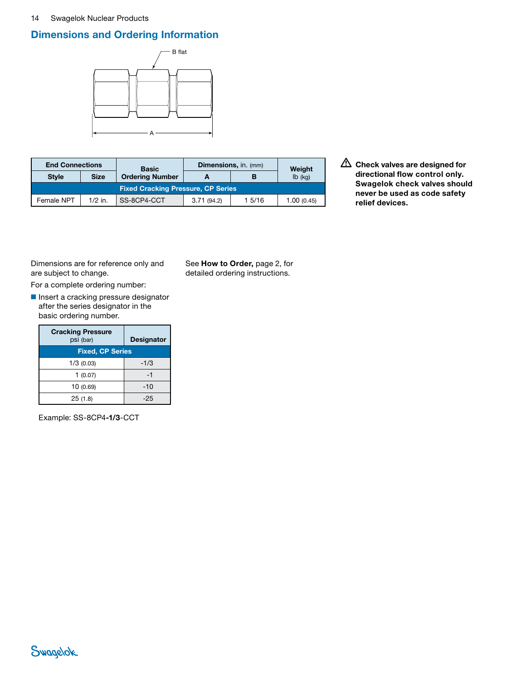#### 14 Swagelok Nuclear Products

# Dimensions and Ordering Information



| <b>End Connections</b>                    |             | <b>Basic</b>           | <b>Dimensions, in. (mm)</b> |        | Weight     |  |
|-------------------------------------------|-------------|------------------------|-----------------------------|--------|------------|--|
| <b>Style</b>                              | <b>Size</b> | <b>Ordering Number</b> |                             | в      | $Ib$ (kg)  |  |
| <b>Fixed Cracking Pressure, CP Series</b> |             |                        |                             |        |            |  |
| Female NPT                                | $1/2$ in.   | SS-8CP4-CCT            | 3.71(94.2)                  | 1 5/16 | 1.00(0.45) |  |

 $\triangle$  Check valves are designed for directional flow control only. Swagelok check valves should never be used as code safety relief devices.

Dimensions are for reference only and are subject to change.

For a complete ordering number:

■ Insert a cracking pressure designator after the series designator in the basic ordering number.

| <b>Cracking Pressure</b><br>psi (bar) | <b>Designator</b> |  |  |
|---------------------------------------|-------------------|--|--|
| <b>Fixed, CP Series</b>               |                   |  |  |
| $1/3$ (0.03)                          | $-1/3$            |  |  |
| 1(0.07)                               | -1                |  |  |
| 10(0.69)                              | $-10$             |  |  |
| 25(1.8)                               | -25               |  |  |

Example: SS-8CP4-1/3-CCT

See How to Order, page [2](#page-1-0), for detailed ordering instructions.

# Swagelok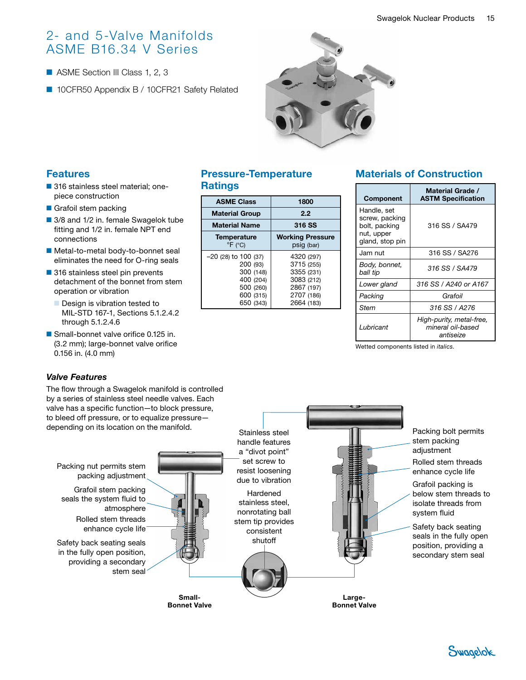# <span id="page-14-0"></span>2- and 5-Valve Manifolds ASME B16.34 V Series

- ASME Section III Class 1, 2, 3
- 10CFR50 Appendix B / 10CFR21 Safety Related



# Features

- 316 stainless steel material: onepiece construction
- Grafoil stem packing
- 3/8 and 1/2 in. female Swagelok tube fitting and 1/2 in. female NPT end connections
- Metal-to-metal body-to-bonnet seal eliminates the need for O-ring seals
- 316 stainless steel pin prevents detachment of the bonnet from stem operation or vibration
	- Design is vibration tested to MIL-STD 167-1, Sections 5.1.2.4.2 through 5.1.2.4.6
- Small-bonnet valve orifice 0.125 in. (3.2 mm); large-bonnet valve orifice 0.156 in. (4.0 mm)

#### *Valve Features*

The flow through a Swagelok manifold is controlled by a series of stainless steel needle valves. Each valve has a specific function—to block pressure, to bleed off pressure, or to equalize pressure depending on its location on the manifold.

#### Large-Packing bolt permits stem packing adjustment Hardened stainless steel, nonrotating ball stem tip provides consistent shutoff Rolled stem threads enhance cycle life Grafoil packing is below stem threads to isolate threads from system fluid Small-Safety back seating seals in the fully open position, providing a secondary stem seal Stainless steel handle features a "divot point" set screw to resist loosening due to vibration Packing nut permits stem packing adjustment Rolled stem threads enhance cycle life<sup>-</sup> Grafoil stem packing seals the system fluid to atmosphere Safety back seating seals in the fully open position, providing a secondary stem seal

Bonnet Valve

### Pressure-Temperature **Ratings**

| <b>ASME Class</b>                                                                                   | 1800                                                                                           |  |
|-----------------------------------------------------------------------------------------------------|------------------------------------------------------------------------------------------------|--|
| <b>Material Group</b>                                                                               | 2.2                                                                                            |  |
| <b>Material Name</b>                                                                                | 316 SS                                                                                         |  |
| <b>Temperature</b><br>$\mathrm{P}F$ ( $\mathrm{C}$ )                                                | <b>Working Pressure</b><br>psig (bar)                                                          |  |
| $-20$ (28) to 100 (37)<br>200 (93)<br>300 (148)<br>400 (204)<br>500 (260)<br>600 (315)<br>650 (343) | 4320 (297)<br>3715 (255)<br>3355 (231)<br>3083 (212)<br>2867 (197)<br>2707 (186)<br>2664 (183) |  |

# Materials of Construction

| <b>Component</b>                                                                | Material Grade /<br><b>ASTM Specification</b>              |  |
|---------------------------------------------------------------------------------|------------------------------------------------------------|--|
| Handle, set<br>screw, packing<br>bolt, packing<br>nut, upper<br>gland, stop pin | 316 SS / SA479                                             |  |
| Jam nut                                                                         | 316 SS / SA276                                             |  |
| Body, bonnet,<br>ball tip                                                       | 316 SS / SA479                                             |  |
| Lower gland                                                                     | 316 SS / A240 or A167                                      |  |
| Packing                                                                         | Grafoil                                                    |  |
| Stem                                                                            | 316 SS / A276                                              |  |
| Lubricant                                                                       | High-purity, metal-free,<br>mineral oil-based<br>antiseize |  |

Wetted components listed in *italics.*

Bonnet Valve

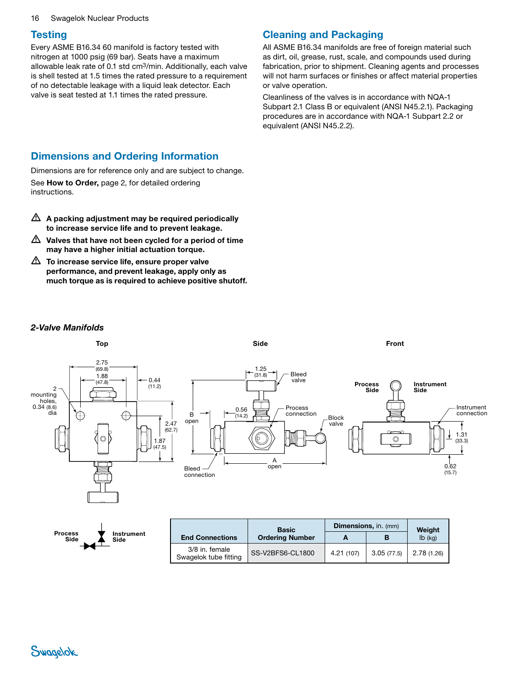#### 16 Swagelok Nuclear Products

#### **Testing**

Every ASME B16.34 60 manifold is factory tested with nitrogen at 1000 psig (69 bar). Seats have a maximum allowable leak rate of 0.1 std cm3/min. Additionally, each valve is shell tested at 1.5 times the rated pressure to a requirement of no detectable leakage with a liquid leak detector. Each valve is seat tested at 1.1 times the rated pressure.

### Cleaning and Packaging

All ASME B16.34 manifolds are free of foreign material such as dirt, oil, grease, rust, scale, and compounds used during fabrication, prior to shipment. Cleaning agents and processes will not harm surfaces or finishes or affect material properties or valve operation.

Cleanliness of the valves is in accordance with NQA-1 Subpart 2.1 Class B or equivalent (ANSI N45.2.1). Packaging procedures are in accordance with NQA-1 Subpart 2.2 or equivalent (ANSI N45.2.2).

### Dimensions and Ordering Information

Dimensions are for reference only and are subject to change.

See How to Order, page [2](#page-1-0), for detailed ordering instructions.

- $\triangle$  A packing adjustment may be required periodically to increase service life and to prevent leakage.
- $\triangle$  Valves that have not been cycled for a period of time may have a higher initial actuation torque.
- $\triangle$  To increase service life, ensure proper valve performance, and prevent leakage, apply only as much torque as is required to achieve positive shutoff.

#### *2-Valve Manifolds*



|                    |                                         | <b>Basic</b>           | <b>Dimensions, in. (mm)</b> |            | Weight      |
|--------------------|-----------------------------------------|------------------------|-----------------------------|------------|-------------|
| Instrument<br>Side | <b>End Connections</b>                  | <b>Ordering Number</b> | Α                           |            | $Ib$ (kg)   |
|                    | 3/8 in. female<br>Swagelok tube fitting | SS-V2BFS6-CL1800       | 4.21 (107)                  | 3.05(77.5) | 2.78 (1.26) |



Process Side